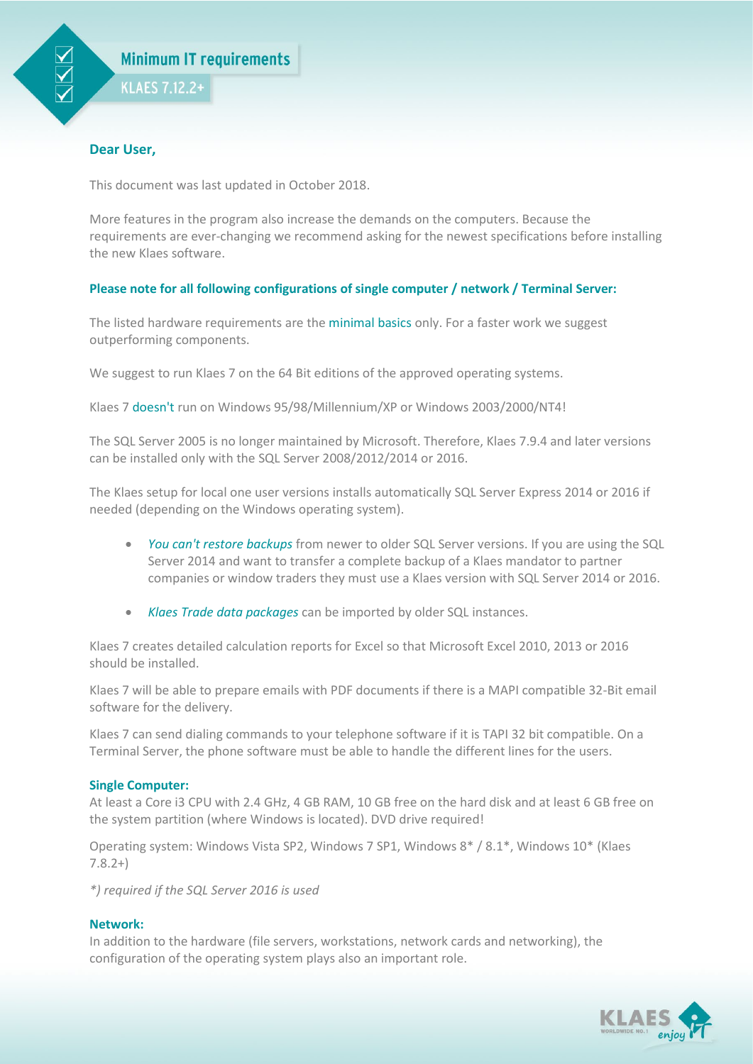

## **Dear User,**

This document was last updated in October 2018.

More features in the program also increase the demands on the computers. Because the requirements are ever-changing we recommend asking for the newest specifications before installing the new Klaes software.

# **Please note for all following configurations of single computer / network / Terminal Server:**

The listed hardware requirements are the minimal basics only. For a faster work we suggest outperforming components.

We suggest to run Klaes 7 on the 64 Bit editions of the approved operating systems.

Klaes 7 doesn't run on Windows 95/98/Millennium/XP or Windows 2003/2000/NT4!

The SQL Server 2005 is no longer maintained by Microsoft. Therefore, Klaes 7.9.4 and later versions can be installed only with the SQL Server 2008/2012/2014 or 2016.

The Klaes setup for local one user versions installs automatically SQL Server Express 2014 or 2016 if needed (depending on the Windows operating system).

- *You can't restore backups* from newer to older SQL Server versions. If you are using the SQL Server 2014 and want to transfer a complete backup of a Klaes mandator to partner companies or window traders they must use a Klaes version with SQL Server 2014 or 2016.
- *Klaes Trade data packages* can be imported by older SQL instances.

Klaes 7 creates detailed calculation reports for Excel so that Microsoft Excel 2010, 2013 or 2016 should be installed.

Klaes 7 will be able to prepare emails with PDF documents if there is a MAPI compatible 32-Bit email software for the delivery.

Klaes 7 can send dialing commands to your telephone software if it is TAPI 32 bit compatible. On a Terminal Server, the phone software must be able to handle the different lines for the users.

## **Single Computer:**

At least a Core i3 CPU with 2.4 GHz, 4 GB RAM, 10 GB free on the hard disk and at least 6 GB free on the system partition (where Windows is located). DVD drive required!

Operating system: Windows Vista SP2, Windows 7 SP1, Windows 8\* / 8.1\*, Windows 10\* (Klaes 7.8.2+)

*\*) required if the SQL Server 2016 is used*

# **Network:**

In addition to the hardware (file servers, workstations, network cards and networking), the configuration of the operating system plays also an important role.

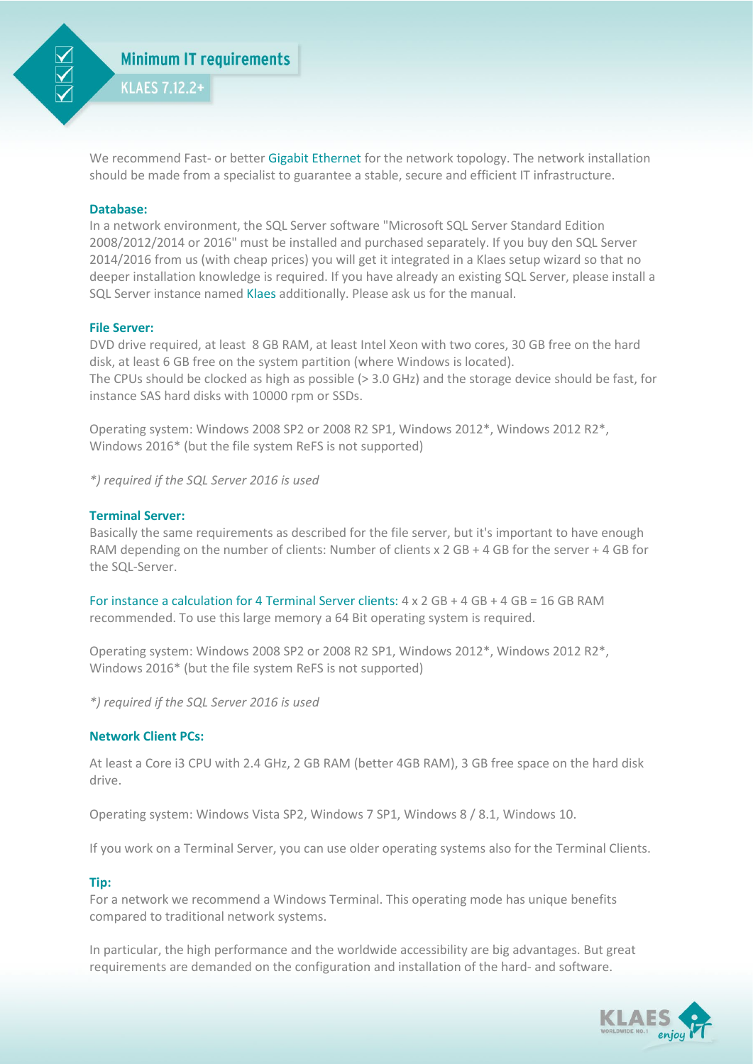

We recommend Fast- or better Gigabit Ethernet for the network topology. The network installation should be made from a specialist to guarantee a stable, secure and efficient IT infrastructure.

#### **Database:**

In a network environment, the SQL Server software "Microsoft SQL Server Standard Edition 2008/2012/2014 or 2016" must be installed and purchased separately. If you buy den SQL Server 2014/2016 from us (with cheap prices) you will get it integrated in a Klaes setup wizard so that no deeper installation knowledge is required. If you have already an existing SQL Server, please install a SQL Server instance named Klaes additionally. Please ask us for the manual.

### **File Server:**

DVD drive required, at least 8 GB RAM, at least Intel Xeon with two cores, 30 GB free on the hard disk, at least 6 GB free on the system partition (where Windows is located). The CPUs should be clocked as high as possible (> 3.0 GHz) and the storage device should be fast, for instance SAS hard disks with 10000 rpm or SSDs.

Operating system: Windows 2008 SP2 or 2008 R2 SP1, Windows 2012\*, Windows 2012 R2\*, Windows 2016\* (but the file system ReFS is not supported)

*\*) required if the SQL Server 2016 is used*

#### **Terminal Server:**

Basically the same requirements as described for the file server, but it's important to have enough RAM depending on the number of clients: Number of clients x 2 GB + 4 GB for the server + 4 GB for the SQL-Server.

For instance a calculation for 4 Terminal Server clients:  $4 \times 2 GB + 4 GB + 4 GB = 16 GB RAM$ recommended. To use this large memory a 64 Bit operating system is required.

Operating system: Windows 2008 SP2 or 2008 R2 SP1, Windows 2012\*, Windows 2012 R2\*, Windows 2016\* (but the file system ReFS is not supported)

*\*) required if the SQL Server 2016 is used*

### **Network Client PCs:**

At least a Core i3 CPU with 2.4 GHz, 2 GB RAM (better 4GB RAM), 3 GB free space on the hard disk drive.

Operating system: Windows Vista SP2, Windows 7 SP1, Windows 8 / 8.1, Windows 10.

If you work on a Terminal Server, you can use older operating systems also for the Terminal Clients.

#### **Tip:**

For a network we recommend a Windows Terminal. This operating mode has unique benefits compared to traditional network systems.

In particular, the high performance and the worldwide accessibility are big advantages. But great requirements are demanded on the configuration and installation of the hard- and software.